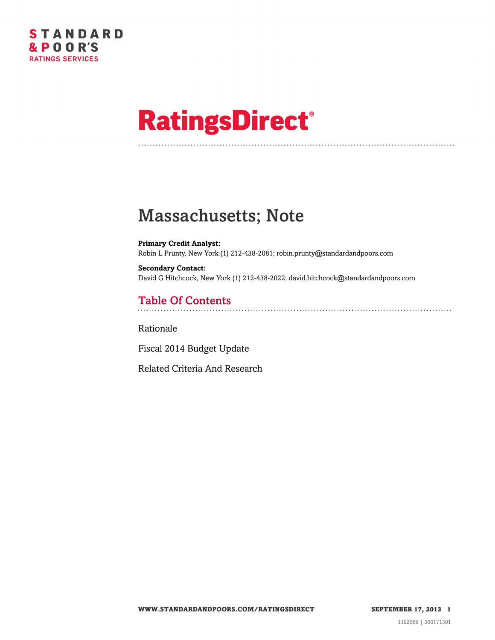

# **RatingsDirect®**

## Massachusetts; Note

**Primary Credit Analyst:** Robin L Prunty, New York (1) 212-438-2081; robin.prunty@standardandpoors.com

**Secondary Contact:** David G Hitchcock, New York (1) 212-438-2022; david.hitchcock@standardandpoors.com

### Table Of Contents

[Rationale](#page-1-0)

[Fiscal 2014 Budget Update](#page-2-0)

[Related Criteria And Research](#page-3-0)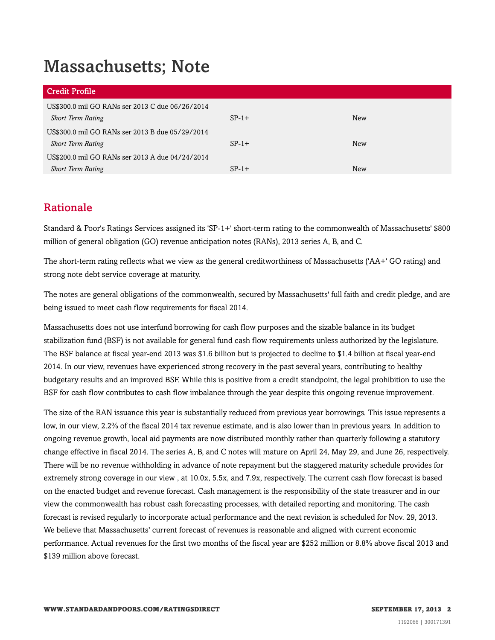## Massachusetts; Note

| Credit Profile                                  |         |            |
|-------------------------------------------------|---------|------------|
| US\$300.0 mil GO RANs ser 2013 C due 06/26/2014 |         |            |
| <b>Short Term Rating</b>                        | $SP-1+$ | <b>New</b> |
| US\$300.0 mil GO RANs ser 2013 B due 05/29/2014 |         |            |
| <b>Short Term Rating</b>                        | $SP-1+$ | <b>New</b> |
| US\$200.0 mil GO RANs ser 2013 A due 04/24/2014 |         |            |
| <b>Short Term Rating</b>                        | $SP-1+$ | New        |

#### <span id="page-1-0"></span>Rationale

Standard & Poor's Ratings Services assigned its 'SP-1+' short-term rating to the commonwealth of Massachusetts' \$800 million of general obligation (GO) revenue anticipation notes (RANs), 2013 series A, B, and C.

The short-term rating reflects what we view as the general creditworthiness of Massachusetts ('AA+' GO rating) and strong note debt service coverage at maturity.

The notes are general obligations of the commonwealth, secured by Massachusetts' full faith and credit pledge, and are being issued to meet cash flow requirements for fiscal 2014.

Massachusetts does not use interfund borrowing for cash flow purposes and the sizable balance in its budget stabilization fund (BSF) is not available for general fund cash flow requirements unless authorized by the legislature. The BSF balance at fiscal year-end 2013 was \$1.6 billion but is projected to decline to \$1.4 billion at fiscal year-end 2014. In our view, revenues have experienced strong recovery in the past several years, contributing to healthy budgetary results and an improved BSF. While this is positive from a credit standpoint, the legal prohibition to use the BSF for cash flow contributes to cash flow imbalance through the year despite this ongoing revenue improvement.

The size of the RAN issuance this year is substantially reduced from previous year borrowings. This issue represents a low, in our view, 2.2% of the fiscal 2014 tax revenue estimate, and is also lower than in previous years. In addition to ongoing revenue growth, local aid payments are now distributed monthly rather than quarterly following a statutory change effective in fiscal 2014. The series A, B, and C notes will mature on April 24, May 29, and June 26, respectively. There will be no revenue withholding in advance of note repayment but the staggered maturity schedule provides for extremely strong coverage in our view , at 10.0x, 5.5x, and 7.9x, respectively. The current cash flow forecast is based on the enacted budget and revenue forecast. Cash management is the responsibility of the state treasurer and in our view the commonwealth has robust cash forecasting processes, with detailed reporting and monitoring. The cash forecast is revised regularly to incorporate actual performance and the next revision is scheduled for Nov. 29, 2013. We believe that Massachusetts' current forecast of revenues is reasonable and aligned with current economic performance. Actual revenues for the first two months of the fiscal year are \$252 million or 8.8% above fiscal 2013 and \$139 million above forecast.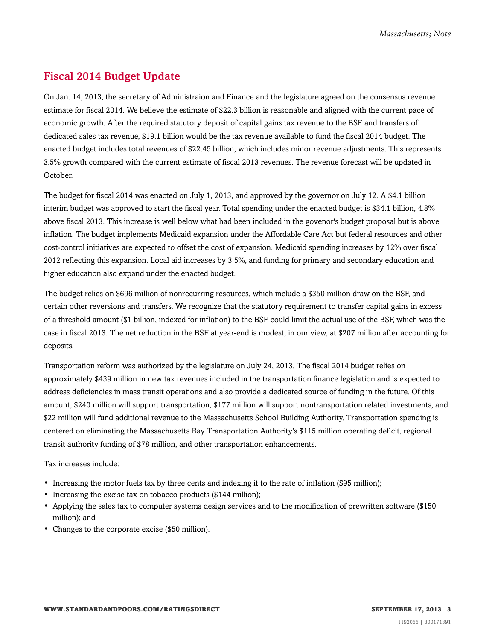#### <span id="page-2-0"></span>Fiscal 2014 Budget Update

On Jan. 14, 2013, the secretary of Administraion and Finance and the legislature agreed on the consensus revenue estimate for fiscal 2014. We believe the estimate of \$22.3 billion is reasonable and aligned with the current pace of economic growth. After the required statutory deposit of capital gains tax revenue to the BSF and transfers of dedicated sales tax revenue, \$19.1 billion would be the tax revenue available to fund the fiscal 2014 budget. The enacted budget includes total revenues of \$22.45 billion, which includes minor revenue adjustments. This represents 3.5% growth compared with the current estimate of fiscal 2013 revenues. The revenue forecast will be updated in October.

The budget for fiscal 2014 was enacted on July 1, 2013, and approved by the governor on July 12. A \$4.1 billion interim budget was approved to start the fiscal year. Total spending under the enacted budget is \$34.1 billion, 4.8% above fiscal 2013. This increase is well below what had been included in the govenor's budget proposal but is above inflation. The budget implements Medicaid expansion under the Affordable Care Act but federal resources and other cost-control initiatives are expected to offset the cost of expansion. Medicaid spending increases by 12% over fiscal 2012 reflecting this expansion. Local aid increases by 3.5%, and funding for primary and secondary education and higher education also expand under the enacted budget.

The budget relies on \$696 million of nonrecurring resources, which include a \$350 million draw on the BSF, and certain other reversions and transfers. We recognize that the statutory requirement to transfer capital gains in excess of a threshold amount (\$1 billion, indexed for inflation) to the BSF could limit the actual use of the BSF, which was the case in fiscal 2013. The net reduction in the BSF at year-end is modest, in our view, at \$207 million after accounting for deposits.

Transportation reform was authorized by the legislature on July 24, 2013. The fiscal 2014 budget relies on approximately \$439 million in new tax revenues included in the transportation finance legislation and is expected to address deficiencies in mass transit operations and also provide a dedicated source of funding in the future. Of this amount, \$240 million will support transportation, \$177 million will support nontransportation related investments, and \$22 million will fund additional revenue to the Massachusetts School Building Authority. Transportation spending is centered on eliminating the Massachusetts Bay Transportation Authority's \$115 million operating deficit, regional transit authority funding of \$78 million, and other transportation enhancements.

Tax increases include:

- Increasing the motor fuels tax by three cents and indexing it to the rate of inflation (\$95 million);
- Increasing the excise tax on tobacco products (\$144 million);
- Applying the sales tax to computer systems design services and to the modification of prewritten software (\$150 million); and
- Changes to the corporate excise (\$50 million).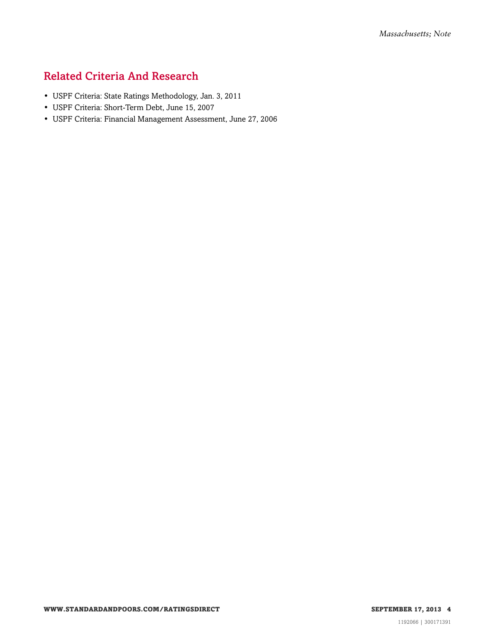#### <span id="page-3-0"></span>Related Criteria And Research

- USPF Criteria: State Ratings Methodology, Jan. 3, 2011
- USPF Criteria: Short-Term Debt, June 15, 2007
- USPF Criteria: Financial Management Assessment, June 27, 2006